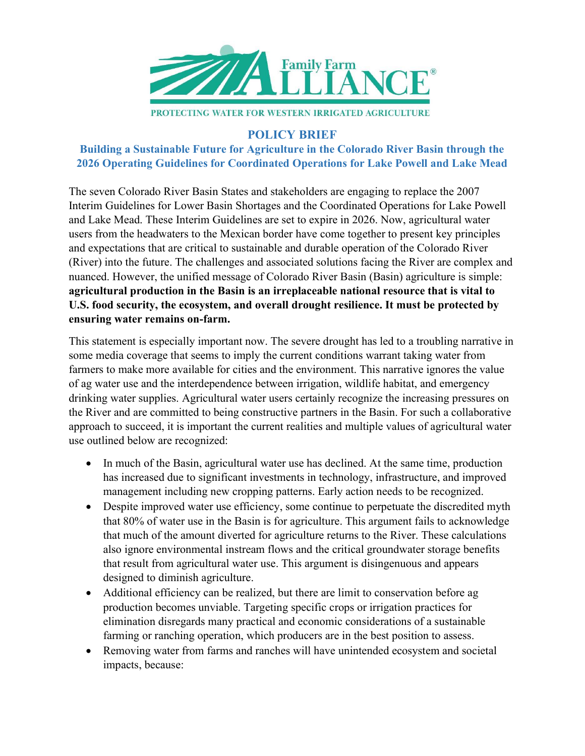

## POLICY BRIEF

## Building a Sustainable Future for Agriculture in the Colorado River Basin through the 2026 Operating Guidelines for Coordinated Operations for Lake Powell and Lake Mead

The seven Colorado River Basin States and stakeholders are engaging to replace the 2007 Interim Guidelines for Lower Basin Shortages and the Coordinated Operations for Lake Powell and Lake Mead. These Interim Guidelines are set to expire in 2026. Now, agricultural water users from the headwaters to the Mexican border have come together to present key principles and expectations that are critical to sustainable and durable operation of the Colorado River (River) into the future. The challenges and associated solutions facing the River are complex and nuanced. However, the unified message of Colorado River Basin (Basin) agriculture is simple: agricultural production in the Basin is an irreplaceable national resource that is vital to U.S. food security, the ecosystem, and overall drought resilience. It must be protected by ensuring water remains on-farm.

This statement is especially important now. The severe drought has led to a troubling narrative in some media coverage that seems to imply the current conditions warrant taking water from farmers to make more available for cities and the environment. This narrative ignores the value of ag water use and the interdependence between irrigation, wildlife habitat, and emergency drinking water supplies. Agricultural water users certainly recognize the increasing pressures on the River and are committed to being constructive partners in the Basin. For such a collaborative approach to succeed, it is important the current realities and multiple values of agricultural water use outlined below are recognized:

- In much of the Basin, agricultural water use has declined. At the same time, production has increased due to significant investments in technology, infrastructure, and improved management including new cropping patterns. Early action needs to be recognized.
- Despite improved water use efficiency, some continue to perpetuate the discredited myth that 80% of water use in the Basin is for agriculture. This argument fails to acknowledge that much of the amount diverted for agriculture returns to the River. These calculations also ignore environmental instream flows and the critical groundwater storage benefits that result from agricultural water use. This argument is disingenuous and appears designed to diminish agriculture.
- Additional efficiency can be realized, but there are limit to conservation before ag production becomes unviable. Targeting specific crops or irrigation practices for elimination disregards many practical and economic considerations of a sustainable farming or ranching operation, which producers are in the best position to assess.
- Removing water from farms and ranches will have unintended ecosystem and societal impacts, because: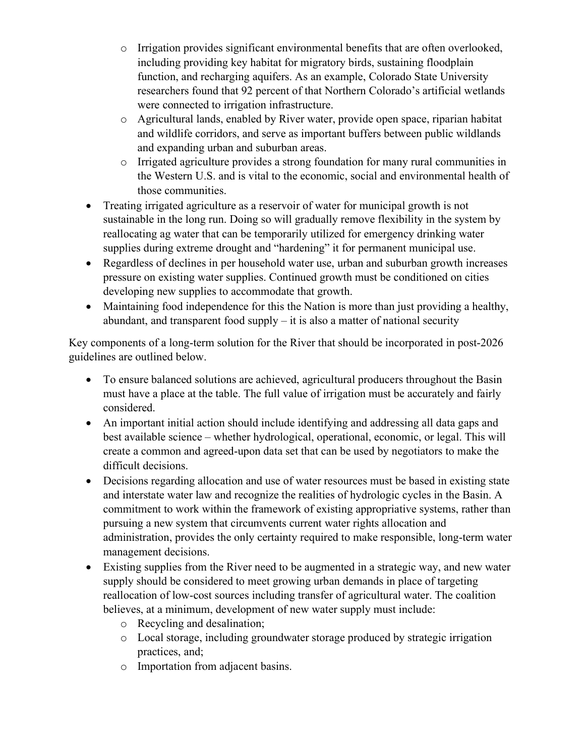- $\circ$  Irrigation provides significant environmental benefits that are often overlooked, including providing key habitat for migratory birds, sustaining floodplain function, and recharging aquifers. As an example, Colorado State University researchers found that 92 percent of that Northern Colorado's artificial wetlands were connected to irrigation infrastructure.
- o Agricultural lands, enabled by River water, provide open space, riparian habitat and wildlife corridors, and serve as important buffers between public wildlands and expanding urban and suburban areas.
- o Irrigated agriculture provides a strong foundation for many rural communities in the Western U.S. and is vital to the economic, social and environmental health of those communities.
- Treating irrigated agriculture as a reservoir of water for municipal growth is not sustainable in the long run. Doing so will gradually remove flexibility in the system by reallocating ag water that can be temporarily utilized for emergency drinking water supplies during extreme drought and "hardening" it for permanent municipal use.
- Regardless of declines in per household water use, urban and suburban growth increases pressure on existing water supplies. Continued growth must be conditioned on cities developing new supplies to accommodate that growth.
- Maintaining food independence for this the Nation is more than just providing a healthy, abundant, and transparent food supply  $-$  it is also a matter of national security

Key components of a long-term solution for the River that should be incorporated in post-2026 guidelines are outlined below.

- To ensure balanced solutions are achieved, agricultural producers throughout the Basin must have a place at the table. The full value of irrigation must be accurately and fairly considered.
- An important initial action should include identifying and addressing all data gaps and best available science – whether hydrological, operational, economic, or legal. This will create a common and agreed-upon data set that can be used by negotiators to make the difficult decisions.
- Decisions regarding allocation and use of water resources must be based in existing state and interstate water law and recognize the realities of hydrologic cycles in the Basin. A commitment to work within the framework of existing appropriative systems, rather than pursuing a new system that circumvents current water rights allocation and administration, provides the only certainty required to make responsible, long-term water management decisions.
- Existing supplies from the River need to be augmented in a strategic way, and new water supply should be considered to meet growing urban demands in place of targeting reallocation of low-cost sources including transfer of agricultural water. The coalition believes, at a minimum, development of new water supply must include:
	- o Recycling and desalination;
	- o Local storage, including groundwater storage produced by strategic irrigation practices, and;
	- o Importation from adjacent basins.